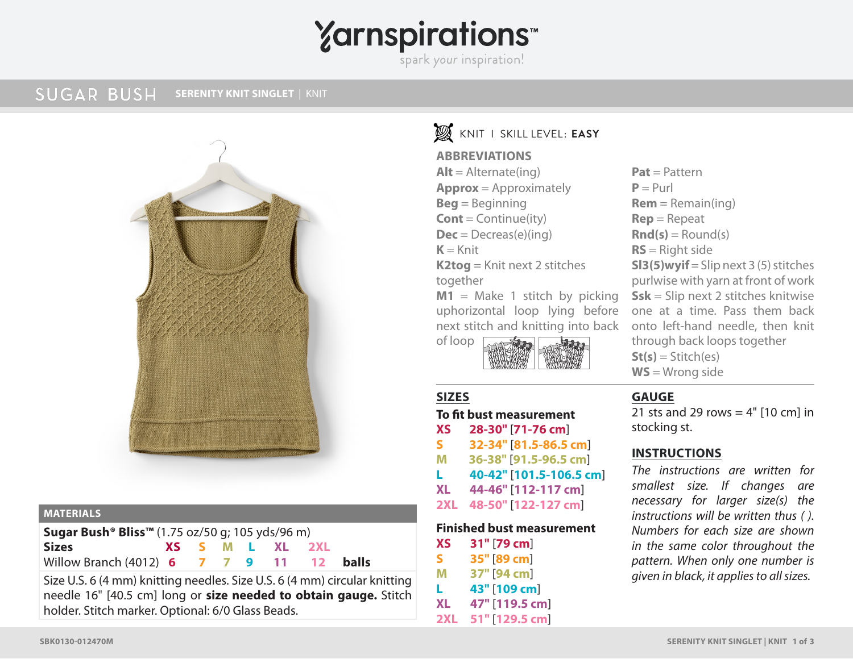# **Yarnspirations**

spark your inspiration!

**SUGAR BUSH SERENITY KNIT SINGLET | KNIT** 



#### **MATERIALS**

| <b>Sugar Bush<sup>®</sup> Bliss</b> ™ (1.75 oz/50 g; 105 yds/96 m) |  |  |  |  |                 |  |  |
|--------------------------------------------------------------------|--|--|--|--|-----------------|--|--|
| Sizes                                                              |  |  |  |  | XS S M L XL 2XL |  |  |
| Willow Branch (4012) 6 7 7 9 11 12 balls                           |  |  |  |  |                 |  |  |

Size U.S. 6 (4 mm) knitting needles. Size U.S. 6 (4 mm) circular knitting needle 16" [40.5 cm] long or **size needed to obtain gauge.** Stitch holder. Stitch marker. Optional: 6/0 Glass Beads.

## CROCHET I SKILL LEVEL: **BEGINNER** KNIT I SKILL LEVEL: **EASY**

#### **ABBREVIATIONS**

 $Alt =$  Alternate(ing) **Approx** = Approximately **Beg** = Beginning **Cont** = Continue(ity)  $Dec = Decreas(e)(ing)$  $K =$ Knit **K2tog** = Knit next 2 stitches together  $M1$  = Make 1 stitch by picking

uphorizontal loop lying before next stitch and knitting into back

of loop

#### **SIZES**

#### **To fit bust measurement**

- **XS 28-30"** [**71-76 cm**]
- **S 32-34"** [**81.5-86.5 cm**]
- **M 36-38"** [**91.5-96.5 cm**]
- **L 40-42"** [**101.5-106.5 cm**]
- **XL 44-46"** [**112-117 cm**]
- **2XL 48-50"** [**122-127 cm**]

#### **Finished bust measurement**

- **XS 31"** [**79 cm**]
- **S 35"** [**89 cm**]
- **M 37"** [**94 cm**] **L 43"** [**109 cm**]
- 
- **XL 47"** [**119.5 cm**]
- **2XL 51"** [**129.5 cm**]

**Pat** = Pattern  $P = Purl$ **Rem** = Remain(ing) **Rep** = Repeat  $\text{Rnd}(s) =$  Round(s) **RS** = Right side **SI3(5)wyif** = Slip next  $3(5)$  stitches purlwise with yarn at front of work **Ssk** = Slip next 2 stitches knitwise one at a time. Pass them back onto left-hand needle, then knit through back loops together  $St(s) = Stitch(es)$ **WS** = Wrong side

#### **GAUGE**

21 sts and 29 rows  $= 4"$  [10 cm] in stocking st.

### **INSTRUCTIONS**

*The instructions are written for smallest size. If changes are necessary for larger size(s) the instructions will be written thus ( ). Numbers for each size are shown in the same color throughout the pattern. When only one number is given in black, it applies to all sizes.*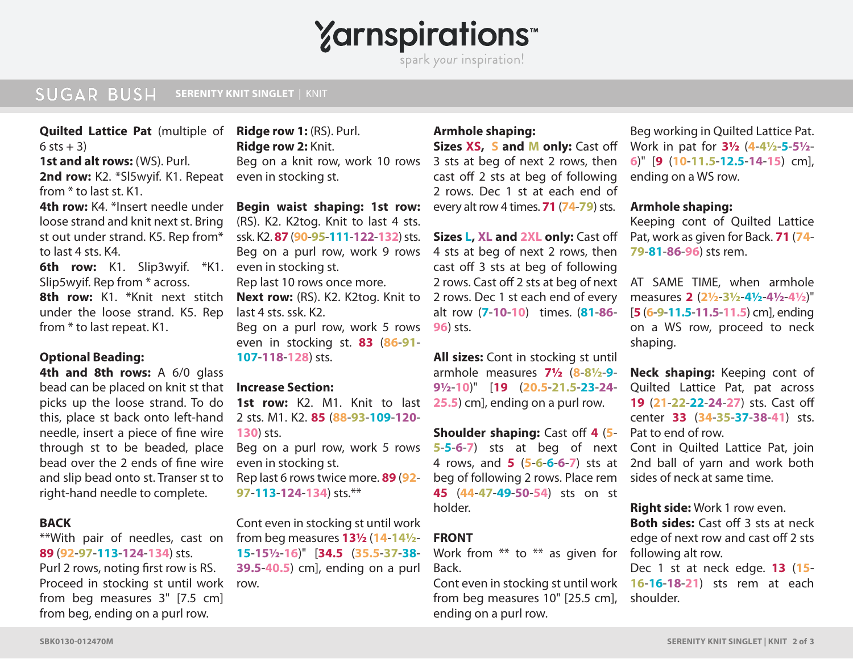# **Yarnspirations**

spark your inspiration!

### **SUGAR BUSH SERENITY KNIT SINGLET | KNIT**

**Quilted Lattice Pat** (multiple of  $6$  sts  $+3$ )

**1st and alt rows:** (WS). Purl.

2nd row: K2. \*Sl5wyif. K1. Repeat from \* to last st. K1.

**4th row:** K4. \*Insert needle under loose strand and knit next st. Bring st out under strand. K5. Rep from\* to last 4 sts. K4.

**6th row:** K1. Slip3wyif. \*K1. even in stocking st. Slip5wyif. Rep from \* across. **8th row:** K1. \*Knit next stitch

under the loose strand. K5. Rep from \* to last repeat. K1.

#### **Optional Beading:**

**4th and 8th rows:** A 6/0 glass bead can be placed on knit st that picks up the loose strand. To do this, place st back onto left-hand needle, insert a piece of fine wire through st to be beaded, place bead over the 2 ends of fine wire and slip bead onto st. Transer st to right-hand needle to complete.

#### **BACK**

\*\*With pair of needles, cast on **89** (**92**-**97**-**113**-**124**-**134**) sts. Purl 2 rows, noting first row is RS. Proceed in stocking st until work from beg measures 3" [7.5 cm] from beg, ending on a purl row.

**Ridge row 1:** (RS). Purl. **Ridge row 2:** Knit. Beg on a knit row, work 10 rows even in stocking st.

SUCAR BUSH attachmost state of the Region and KS, Rey May 100 and K and Monty: Cast of Work in particular title of the Region and R (SS). Put, Beg on a knit movem to those stats and subset are the system and the result of **Begin waist shaping: 1st row:** (RS). K2. K2tog. Knit to last 4 sts. ssk. K2. **87** (**90**-**95**-**111**-**122**-**132**) sts. Beg on a purl row, work 9 rows Rep last 10 rows once more. **Next row:** (RS). K2. K2tog. Knit to last 4 sts. ssk. K2. Beg on a purl row, work 5 rows

even in stocking st. **83** (**86**-**91**- **107**-**118**-**128**) sts.

#### **Increase Section:**

1st row: K2. M1. Knit to last 2 sts. M1. K2. **85** (**88**-**93**-**109**-**120**- **130**) sts.

Beg on a purl row, work 5 rows even in stocking st. Rep last 6 rows twice more. **89** (**92**- **97**-**113**-**124**-**134**) sts.\*\*

Cont even in stocking st until work from beg measures **13½** (**14**-**14½**- **15**-**15½**-**16**)" [**34.5** (**35.5**-**37**-**38**- **39.5**-**40.5**) cm], ending on a purl row.

#### **Armhole shaping:**

**Sizes XS,, S and M only:** Cast off 3 sts at beg of next 2 rows, then cast off 2 sts at beg of following 2 rows. Dec 1 st at each end of every alt row 4 times. **71** (**74**-**79**) sts.

**Sizes L, XL and 2XL only:** Cast off 4 sts at beg of next 2 rows, then cast off 3 sts at beg of following 2 rows. Cast off 2 sts at beg of next AT SAME TIME, when armhole 2 rows. Dec 1 st each end of every alt row (**7**-**10**-**10**) times. (**81**-**86**- **96**) sts.

**All sizes:** Cont in stocking st until armhole measures **7½** (**8**-**8½**-**9**- **9½**-**10**)" [**19** (**20.5**-**21.5**-**23**-**24**- **25.5**) cm], ending on a purl row.

**Shoulder shaping:** Cast off **4** (**5**- **5**-**5**-**6**-**7**) sts at beg of next Cont in Quilted Lattice Pat, join 4 rows, and **5** (**5**-**6**-**6**-**6**-**7**) sts at 2nd ball of yarn and work both beg of following 2 rows. Place rem **45** (**44**-**47**-**49**-**50**-**54**) sts on st holder.

#### **FRONT**

Work from \*\* to \*\* as given for following alt row. Back.

from beg measures 10" [25.5 cm], ending on a purl row.

Beg working in Quilted Lattice Pat. Work in pat for **3½** (**4**-**4½**-**5**-**5½**- **6**)" [**9** (**10**-**11.5**-**12.5**-**14**-**15**) cm], ending on a WS row.

#### **Armhole shaping:**

Keeping cont of Quilted Lattice Pat, work as given for Back. **71** (**74**- **79**-**81**-**86**-**96**) sts rem.

measures **2** (**2½**-**3½**-**4½**-**4½**-**4½**)" [**5** (**6**-**9**-**11.5**-**11.5**-**11.5**) cm], ending on a WS row, proceed to neck shaping.

**Neck shaping:** Keeping cont of Quilted Lattice Pat, pat across **19** (**21**-**22**-**22**-**24**-**27**) sts. Cast off center **33** (**34**-**35**-**37**-**38**-**41**) sts. Pat to end of row.

sides of neck at same time.

**Right side:** Work 1 row even. **Both sides:** Cast off 3 sts at neck edge of next row and cast off 2 sts

Cont even in stocking st until work **16**-**16**-**18**-**21**) sts rem at each Dec 1 st at neck edge. **13** (**15** shoulder.